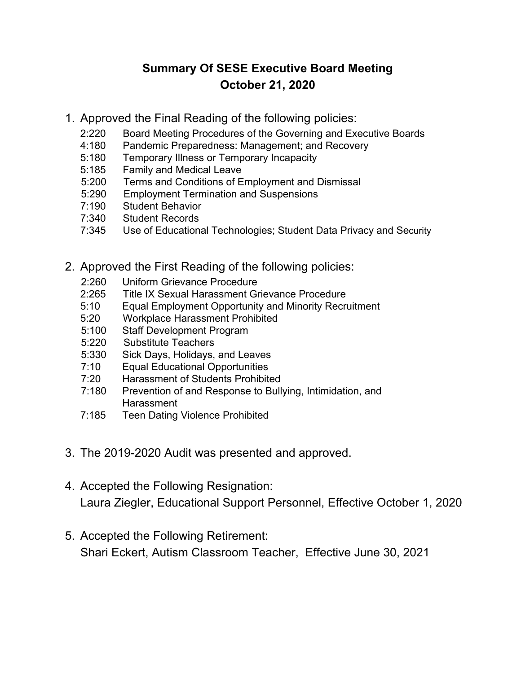## **Summary Of SESE Executive Board Meeting October 21, 2020**

- 1. Approved the Final Reading of the following policies:
	- 2:220 Board Meeting Procedures of the Governing and Executive Boards
	- 4:180 Pandemic Preparedness: Management; and Recovery
	- 5:180 Temporary Illness or Temporary Incapacity
	- 5:185 Family and Medical Leave
	- 5:200 Terms and Conditions of Employment and Dismissal
	- 5:290 Employment Termination and Suspensions
	- 7:190 Student Behavior
	- 7:340 Student Records
	- 7:345 Use of Educational Technologies; Student Data Privacy and Security
- 2. Approved the First Reading of the following policies:
	- 2:260 Uniform Grievance Procedure
	- 2:265 Title IX Sexual Harassment Grievance Procedure
	- 5:10 Equal Employment Opportunity and Minority Recruitment
	- 5:20 Workplace Harassment Prohibited
	- 5:100 Staff Development Program
	- 5:220 Substitute Teachers
	- 5:330 Sick Days, Holidays, and Leaves
	- 7:10 Equal Educational Opportunities
	- 7:20 Harassment of Students Prohibited
	- 7:180 Prevention of and Response to Bullying, Intimidation, and Harassment
	- 7:185 Teen Dating Violence Prohibited
- 3. The 2019-2020 Audit was presented and approved.
- 4. Accepted the Following Resignation: Laura Ziegler, Educational Support Personnel, Effective October 1, 2020
- 5. Accepted the Following Retirement: Shari Eckert, Autism Classroom Teacher, Effective June 30, 2021